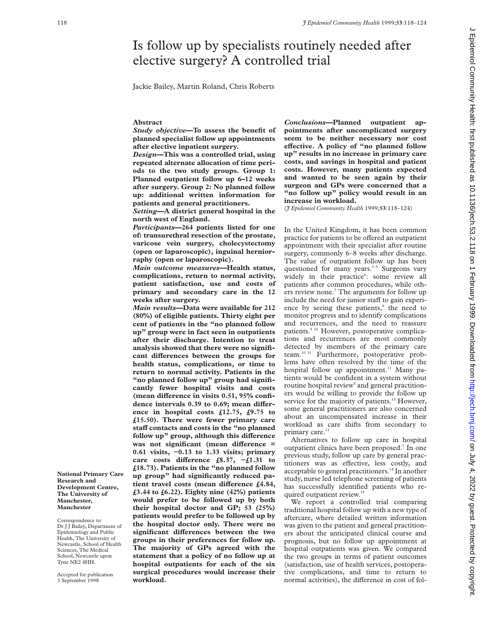# Is follow up by specialists routinely needed after elective surgery? A controlled trial

Jackie Bailey, Martin Roland, Chris Roberts

# **Abstract**

*Study objective***—To assess the benefit of planned specialist follow up appointments after elective inpatient surgery.**

*Design***—This was a controlled trial, using repeated alternate allocation of time periods to the two study groups. Group 1: Planned outpatient follow up 6–12 weeks after surgery. Group 2: No planned follow up: additional written information for patients and general practitioners.**

*Setting***—A district general hospital in the north west of England.**

*Participants***—264 patients listed for one of: transurethral resection of the prostate, varicose vein surgery, cholecystectomy (open or laparoscopic), inguinal herniorraphy (open or laparoscopic).**

*Main outcome measures***—Health status, complications, return to normal activity, patient satisfaction, use and costs of primary and secondary care in the 12 weeks after surgery.**

*Main results***—Data were available for 212 (80%) of eligible patients. Thirty eight per cent of patients in the "no planned follow up" group were in fact seen in outpatients after their discharge. Intention to treat analysis showed that there were no signifi**cant differences between the groups for **health status, complications, or time to return to normal activity. Patients in the "no planned follow up" group had significantly fewer hospital visits and costs** (mean difference in visits 0.51, 95% confidence intervals 0.39 to 0.69; mean differ**ence in hospital costs £12.75, £9.75 to £15.50). There were fewer primary care staV contacts and costs in the "no planned** follow up" group, although this difference **was not significant (mean difference = 0.61 visits, −0.13 to 1.33 visits; primary** care costs difference £8.37, −£1.31 to **£18.73). Patients in the "no planned follow up group" had significantly reduced patient travel costs (mean difference £4.84, £3.44 to £6.22). Eighty nine (42%) patients would prefer to be followed up by both their hospital doctor and GP; 53 (25%) patients would prefer to be followed up by the hospital doctor only. There were no** significant differences between the two **groups in their preferences for follow up. The majority of GPs agreed with the statement that a policy of no follow up at hospital outpatients for each of the six surgical procedures would increase their workload.**

*Conclusions***—Planned outpatient appointments after uncomplicated surgery seem to be neither necessary nor cost** effective. A policy of "no planned follow **up" results in no increase in primary care costs, and savings in hospital and patient costs. However, many patients expected and wanted to be seen again by their surgeon and GPs were concerned that a "no follow up" policy would result in an increase in workload.**

(*J Epidemiol Community Health* 1999;**53**:118–124)

In the United Kingdom, it has been common practice for patients to be offered an outpatient appointment with their specialist after routine surgery, commonly 6–8 weeks after discharge. The value of outpatient follow up has been questioned for many years. $1-5$  Surgeons vary widely in their practice<sup>6</sup>: some review all patients after common procedures, while others review none.<sup>7</sup> The arguments for follow up include the need for junior staff to gain experience by seeing these patients,<sup>8</sup> the need to monitor progress and to identify complications and recurrences, and the need to reassure patients.<sup>9 10</sup> However, postoperative complications and recurrences are most commonly detected by members of the primary care team.10 11 Furthermore, postoperative problems have often resolved by the time of the hospital follow up appointment.<sup>11</sup> Many patients would be confident in a system without routine hospital review<sup>5</sup> and general practitioners would be willing to provide the follow up service for the majority of patients.<sup>12</sup> However, some general practitioners are also concerned about an uncompensated increase in their workload as care shifts from secondary to primary care.<sup>13</sup>

Alternatives to follow up care in hospital outpatient clinics have been proposed.<sup>7</sup> In one previous study, follow up care by general practitioners was as effective, less costly, and acceptable to general practitioners.<sup>14</sup> In another study, nurse led telephone screening of patients has successfully identified patients who required outpatient review.<sup>15</sup>

We report a controlled trial comparing traditional hospital follow up with a new type of aftercare, where detailed written information was given to the patient and general practitioners about the anticipated clinical course and prognosis, but no follow up appointment at hospital outpatients was given. We compared the two groups in terms of patient outcomes (satisfaction, use of health services, postoperative complications, and time to return to normal activities), the difference in cost of fol-

**National Primary Care Research and Development Centre, The University of Manchester, Manchester**

Correspondence to: Dr J J Bailey, Department of Epidemiology and Public Health, The University of Newcastle, School of Health Sciences, The Medical School, Newcastle upon Tyne NE2 4HH.

Accepted for publication 3 September 1998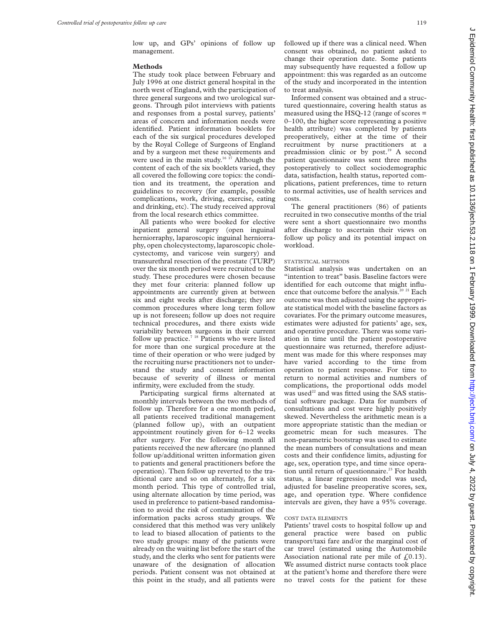#### **Methods**

The study took place between February and July 1996 at one district general hospital in the north west of England, with the participation of three general surgeons and two urological surgeons. Through pilot interviews with patients and responses from a postal survey, patients' areas of concern and information needs were identified. Patient information booklets for each of the six surgical procedures developed by the Royal College of Surgeons of England and by a surgeon met these requirements and were used in the main study.<sup>16 17</sup> Although the content of each of the six booklets varied, they all covered the following core topics: the condition and its treatment, the operation and guidelines to recovery (for example, possible complications, work, driving, exercise, eating and drinking, etc). The study received approval from the local research ethics committee.

All patients who were booked for elective inpatient general surgery (open inguinal herniorraphy, laparoscopic inguinal herniorraphy, open cholecystectomy, laparoscopic cholecystectomy, and varicose vein surgery) and transurethral resection of the prostate (TURP) over the six month period were recruited to the study. These procedures were chosen because they met four criteria: planned follow up appointments are currently given at between six and eight weeks after discharge; they are common procedures where long term follow up is not foreseen; follow up does not require technical procedures, and there exists wide variability between surgeons in their current follow up practice.<sup>7 18</sup> Patients who were listed for more than one surgical procedure at the time of their operation or who were judged by the recruiting nurse practitioners not to understand the study and consent information because of severity of illness or mental infirmity, were excluded from the study.

Participating surgical firms alternated at monthly intervals between the two methods of follow up. Therefore for a one month period, all patients received traditional management (planned follow up), with an outpatient appointment routinely given for 6–12 weeks after surgery. For the following month all patients received the new aftercare (no planned follow up/additional written information given to patients and general practitioners before the operation). Then follow up reverted to the traditional care and so on alternately, for a six month period. This type of controlled trial, using alternate allocation by time period, was used in preference to patient-based randomisation to avoid the risk of contamination of the information packs across study groups. We considered that this method was very unlikely to lead to biased allocation of patients to the two study groups: many of the patients were already on the waiting list before the start of the study, and the clerks who sent for patients were unaware of the designation of allocation periods. Patient consent was not obtained at this point in the study, and all patients were

followed up if there was a clinical need. When consent was obtained, no patient asked to change their operation date. Some patients may subsequently have requested a follow up appointment: this was regarded as an outcome of the study and incorporated in the intention to treat analysis.

Informed consent was obtained and a structured questionnaire, covering health status as measured using the HSQ-12 (range of scores = 0–100, the higher score representing a positive health attribute) was completed by patients preoperatively, either at the time of their recruitment by nurse practitioners at a preadmission clinic or by post.<sup>19</sup> A second patient questionnaire was sent three months postoperatively to collect sociodemographic data, satisfaction, health status, reported complications, patient preferences, time to return to normal activities, use of health services and costs.

The general practitioners (86) of patients recruited in two consecutive months of the trial were sent a short questionnaire two months after discharge to ascertain their views on follow up policy and its potential impact on workload.

#### STATISTICAL METHODS

Statistical analysis was undertaken on an "intention to treat" basis. Baseline factors were identified for each outcome that might influence that outcome before the analysis.<sup>20</sup> <sup>21</sup> Each outcome was then adjusted using the appropriate statistical model with the baseline factors as covariates. For the primary outcome measures, estimates were adjusted for patients' age, sex, and operative procedure. There was some variation in time until the patient postoperative questionnaire was returned, therefore adjustment was made for this where responses may have varied according to the time from operation to patient response. For time to return to normal activities and numbers of complications, the proportional odds model was used<sup>22</sup> and was fitted using the SAS statistical software package. Data for numbers of consultations and cost were highly positively skewed. Nevertheless the arithmetic mean is a more appropriate statistic than the median or geometric mean for such measures. The non-parametric bootstrap was used to estimate the mean numbers of consultations and mean costs and their confidence limits, adjusting for age, sex, operation type, and time since operation until return of questionnaire.<sup>23</sup> For health status, a linear regression model was used, adjusted for baseline preoperative scores, sex, age, and operation type. Where confidence intervals are given, they have a 95% coverage.

## COST DATA ELEMENTS

Patients' travel costs to hospital follow up and general practice were based on public transport/taxi fare and/or the marginal cost of car travel (estimated using the Automobile Association national rate per mile of  $f(0.13)$ . We assumed district nurse contacts took place at the patient's home and therefore there were no travel costs for the patient for these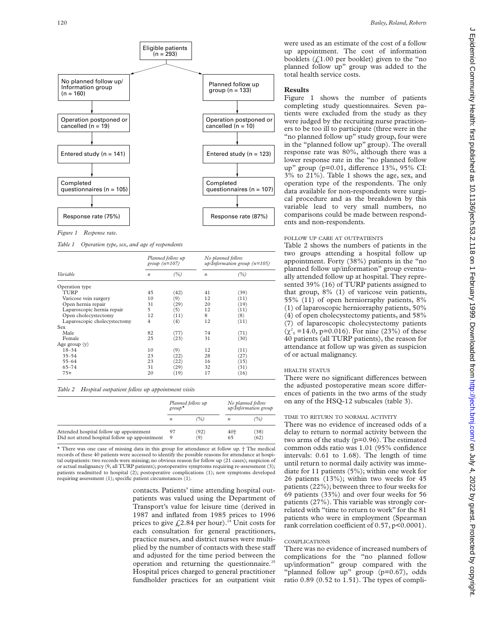

*Figure 1 Response rate.*

| Table 1 |  |  |  | Operation type, sex, and age of respondents |  |
|---------|--|--|--|---------------------------------------------|--|
|---------|--|--|--|---------------------------------------------|--|

|                              |                  | Planned follow up<br>group $(n=107)$ | No planned follow<br>$up/Information$ (n=105) |      |  |
|------------------------------|------------------|--------------------------------------|-----------------------------------------------|------|--|
| Variable                     | $\boldsymbol{n}$ | (%)                                  | $\boldsymbol{n}$                              | (%)  |  |
| Operation type               |                  |                                      |                                               |      |  |
| TURP                         | 45               | (42)                                 | 41                                            | (39) |  |
| Varicose vein surgery        | 10               | (9)                                  | 12                                            | (11) |  |
| Open hernia repair           | 31               | (29)                                 | 20                                            | (19) |  |
| Laparoscopic hernia repair   | 5                | (5)                                  | 12                                            | (11) |  |
| Open cholecystectomy         | 12               | (11)                                 | 8                                             | (8)  |  |
| Laparoscopic cholecystectomy | $\overline{4}$   | (4)                                  | 12                                            | (11) |  |
| Sex                          |                  |                                      |                                               |      |  |
| Male                         | 82               | (77)                                 | 74                                            | (71) |  |
| Female                       | 25               | (23)                                 | 31                                            | (30) |  |
| Age group $(y)$              |                  |                                      |                                               |      |  |
| $18 - 34$                    | 10               | (9)                                  | 12                                            | (11) |  |
| $35 - 54$                    | 23               | (22)                                 | 28                                            | (27) |  |
| $55 - 64$                    | 23               | (22)                                 | 16                                            | (15) |  |
| $65 - 74$                    | 31               | (29)                                 | 32                                            | (31) |  |
| $75+$                        | 20               | (19)                                 | 17                                            | (16) |  |

# *Table 2 Hospital outpatient follow up appointment visits*

|                                                                                          | Planned follow up<br>$group^*$ |             | No planned follow<br>$up/Information$ group |              |
|------------------------------------------------------------------------------------------|--------------------------------|-------------|---------------------------------------------|--------------|
|                                                                                          | $\boldsymbol{n}$               | (%)         | $\boldsymbol{n}$                            | (%)          |
| Attended hospital follow up appointment<br>Did not attend hospital follow up appointment | 97<br>9                        | (92)<br>(9) | 40 <sub>1</sub><br>65                       | (38)<br>(62) |

\* There was one case of missing data in this group for attendance at follow up. † The medical records of these 40 patients were accessed to identify the possible reasons for attendance at hospital outpatients: two records were missing; no obvious reason for follow up (21 cases); suspicion of or actual malignancy (9, all TURP patients); postoperative symptoms requiring re-assessment (3); patients readmitted to hospital (2); postoperative complications (1); new symptoms developed requiring assessment (1); specific patient circumstances (1).

> contacts*.* Patients' time attending hospital outpatients was valued using the Department of Transport's value for leisure time (derived in 1987 and inflated from 1985 prices to 1996 prices to give  $\frac{2.84}{2.84}$  per hour).<sup>24</sup> Unit costs for each consultation for general practitioners, practice nurses, and district nurses were multiplied by the number of contacts with these staff and adjusted for the time period between the operation and returning the questionnaire*.* 25 Hospital prices charged to general practitioner fundholder practices for an outpatient visit

were used as an estimate of the cost of a follow up appointment. The cost of information booklets  $(f1.00 \text{ per booklet})$  given to the "no planned follow up" group was added to the total health service costs.

## **Results**

Figure 1 shows the number of patients completing study questionnaires. Seven patients were excluded from the study as they were judged by the recruiting nurse practitioners to be too ill to participate (three were in the "no planned follow up" study group, four were in the "planned follow up" group). The overall response rate was 80%, although there was a lower response rate in the "no planned follow up" group ( $p=0.01$ , difference 13%, 95% CI: 3% to 21%). Table 1 shows the age, sex, and operation type of the respondents. The only data available for non-respondents were surgical procedure and as the breakdown by this variable lead to very small numbers, no comparisons could be made between respondents and non-respondents.

# FOLLOW UP CARE AT OUTPATIENTS

Table 2 shows the numbers of patients in the two groups attending a hospital follow up appointment. Forty (38%) patients in the "no planned follow up/information" group eventually attended follow up at hospital. They represented 39% (16) of TURP patients assigned to that group, 8% (1) of varicose vein patients, 55% (11) of open herniorraphy patients, 8% (1) of laparoscopic herniorraphy patients, 50% (4) of open cholecystectomy patients, and 58% (7) of laparoscopic cholecystectomy patients  $(\chi^2$ <sub>5</sub> =14.0, p=0.016). For nine (23%) of these 40 patients (all TURP patients), the reason for attendance at follow up was given as suspicion of or actual malignancy.

#### HEALTH STATUS

There were no significant differences between the adjusted postoperative mean score differences of patients in the two arms of the study on any of the HSQ-12 subscales (table 3).

#### TIME TO RETURN TO NORMAL ACTIVITY

There was no evidence of increased odds of a delay to return to normal activity between the two arms of the study (p=0.96). The estimated common odds ratio was 1.01 (95% confidence intervals: 0.61 to 1.68). The length of time until return to normal daily activity was immediate for 11 patients (5%); within one week for 26 patients (13%); within two weeks for 45 patients (22%); between three to four weeks for 69 patients (33%) and over four weeks for 56 patients (27%). This variable was strongly correlated with "time to return to work" for the 81 patients who were in employment (Spearman rank correlation coefficient of 0.57, p<0.0001).

## **COMPLICATIONS**

There was no evidence of increased numbers of complications for the "no planned follow up/information" group compared with the "planned follow up" group (p=0.67), odds ratio 0.89 (0.52 to 1.51). The types of compli-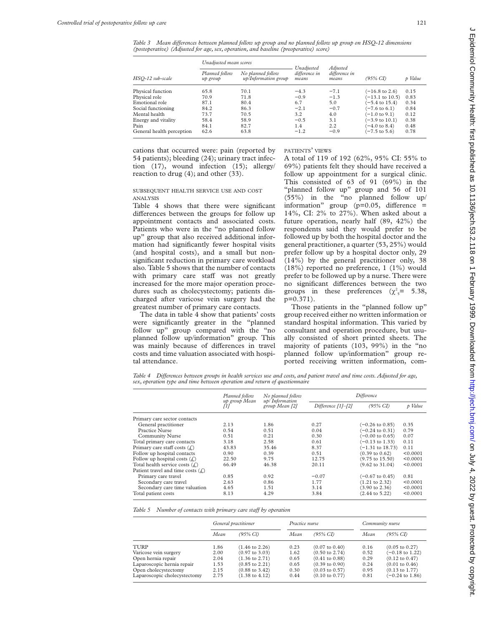*Table 3 Mean diVerences between planned follow up group and no planned follow up group on HSQ-12 dimensions (postoperative) (Adjusted for age, sex, operation, and baseline (preoperative) score)*

|                           | Unadjusted mean scores     |                                     |                                      |                                    |                            |         |  |
|---------------------------|----------------------------|-------------------------------------|--------------------------------------|------------------------------------|----------------------------|---------|--|
| HSO-12 sub-scale          | Planned follow<br>up group | No planned follow<br>up/Information | Unadiusted<br>difference in<br>means | Adjusted<br>difference in<br>means | (95% CI)                   | p Value |  |
| Physical function         | 65.8                       | 70.1                                | $-4.3$                               | $-7.1$                             | $(-16.8 \text{ to } 2.6)$  | 0.15    |  |
| Physical role             | 70.9                       | 71.8                                | $-0.9$                               | $-1.3$                             | $(-13.1 \text{ to } 10.5)$ | 0.83    |  |
| Emotional role            | 87.1                       | 80.4                                | 6.7                                  | 5.0                                | $(-5.4 \text{ to } 15.4)$  | 0.34    |  |
| Social functioning        | 84.2                       | 86.3                                | $-2.1$                               | $-0.7$                             | $(-7.6 \text{ to } 6.1)$   | 0.84    |  |
| Mental health             | 73.7                       | 70.5                                | 3.2                                  | 4.0                                | $(-1.0 \text{ to } 9.1)$   | 0.12    |  |
| Energy and vitality       | 58.4                       | 58.9                                | $-0.5$                               | 3.1                                | $(-3.9 \text{ to } 10.1)$  | 0.38    |  |
| Pain                      | 84.1                       | 82.7                                | 1.4                                  | 2.2                                | $(-4.0 \text{ to } 8.4)$   | 0.48    |  |
| General health perception | 62.6                       | 63.8                                | $-1.2$                               | $-0.9$                             | $(-7.5 \text{ to } 5.6)$   | 0.78    |  |

cations that occurred were: pain (reported by 54 patients); bleeding (24); urinary tract infection (17), wound infection (15); allergy/ reaction to drug (4); and other (33).

SUBSEQUENT HEALTH SERVICE USE AND COST ANALYSIS

Table 4 shows that there were significant differences between the groups for follow up appointment contacts and associated costs. Patients who were in the "no planned follow up" group that also received additional information had significantly fewer hospital visits (and hospital costs), and a small but nonsignificant reduction in primary care workload also. Table 5 shows that the number of contacts with primary care staff was not greatly increased for the more major operation procedures such as cholecystectomy; patients discharged after varicose vein surgery had the greatest number of primary care contacts.

The data in table 4 show that patients' costs were significantly greater in the "planned follow up" group compared with the "no planned follow up/information" group. This was mainly because of differences in travel costs and time valuation associated with hospital attendance.

PATIENTS' VIEWS

A total of 119 of 192 (62%, 95% CI: 55% to 69%) patients felt they should have received a follow up appointment for a surgical clinic. This consisted of 63 of 91 (69%) in the "planned follow up" group and 56 of 101 (55%) in the "no planned follow up/ information" group  $(p=0.05,$  difference = 14%, CI: 2% to 27%). When asked about a future operation, nearly half (89, 42%) the respondents said they would prefer to be followed up by both the hospital doctor and the general practitioner, a quarter (53, 25%) would prefer follow up by a hospital doctor only, 29 (14%) by the general practitioner only, 38 (18%) reported no preference, 1 (1%) would prefer to be followed up by a nurse. There were no significant differences between the two groups in these preferences  $(\chi^2_s = 5.38,$ p=0.371).

Those patients in the "planned follow up" group received either no written information or standard hospital information. This varied by consultant and operation procedure, but usually consisted of short printed sheets. The majority of patients (103, 99%) in the "no planned follow up/information" group reported receiving written information, com-

*Table 4 DiVerences between groups in health services use and costs, and patient travel and time costs. Adjusted for age, sex, operation type and time between operation and return of questionnaire*

|                                     | Planned follow       | No planned follow                | Difference           |                             |          |  |  |
|-------------------------------------|----------------------|----------------------------------|----------------------|-----------------------------|----------|--|--|
|                                     | up group Mean<br>[1] | up/Information<br>group Mean [2] | Difference $[1]-[2]$ | $(95\% \text{ CI})$         | p Value  |  |  |
| Primary care sector contacts        |                      |                                  |                      |                             |          |  |  |
| General practitioner                | 2.13                 | 1.86                             | 0.27                 | $(-0.26 \text{ to } 0.85)$  | 0.35     |  |  |
| Practice Nurse                      | 0.54                 | 0.51                             | 0.04                 | $(-0.24 \text{ to } 0.31)$  | 0.79     |  |  |
| Community Nurse                     | 0.51                 | 0.21                             | 0.30                 | $(-0.00 \text{ to } 0.65)$  | 0.07     |  |  |
| Total primary care contacts         | 3.18                 | 2.58                             | 0.61                 | $(-0.13 \text{ to } 1.33)$  | 0.11     |  |  |
| Primary care staff costs $(f)$      | 43.83                | 35.46                            | 8.37                 | $(-1.31 \text{ to } 18.73)$ | 0.11     |  |  |
| Follow up hospital contacts         | 0.90                 | 0.39                             | 0.51                 | $(0.39 \text{ to } 0.62)$   | < 0.0001 |  |  |
| Follow up hospital costs $(f)$      | 22.50                | 9.75                             | 12.75                | $(9.75 \text{ to } 15.50)$  | < 0.0001 |  |  |
| Total health service costs $(f)$    | 66.49                | 46.38                            | 20.11                | $(9.62 \text{ to } 31.04)$  | < 0.0001 |  |  |
| Patient travel and time costs $(f)$ |                      |                                  |                      |                             |          |  |  |
| Primary care travel                 | 0.85                 | 0.92                             | $-0.07$              | $(-0.67 \text{ to } 0.45)$  | 0.81     |  |  |
| Secondary care travel               | 2.63                 | 0.86                             | 1.77                 | $(1.21 \text{ to } 2.32)$   | < 0.0001 |  |  |
| Secondary care time valuation       | 4.65                 | 1.51                             | 3.14                 | $(3.90 \text{ to } 2.36)$   | < 0.0001 |  |  |
| Total patient costs                 | 8.13                 | 4.29                             | 3.84                 | $(2.44 \text{ to } 5.22)$   | < 0.0001 |  |  |

*Table 5 Number of contacts with primary care staff by operation* 

|                              | General practitioner |                           | Practice nurse |                           | Community nurse |                            |  |
|------------------------------|----------------------|---------------------------|----------------|---------------------------|-----------------|----------------------------|--|
|                              | Mean                 | (95% Cl)                  | Mean           | (95% CI)                  | Mean            | $(95\% \text{ CI})$        |  |
| TURP                         | 1.86                 | $(1.46 \text{ to } 2.26)$ | 0.23           | $(0.07 \text{ to } 0.40)$ | 0.16            | $(0.05 \text{ to } 0.27)$  |  |
| Varicose vein surgery        | 2.00                 | $(0.97 \text{ to } 3.03)$ | 1.62           | $(0.50 \text{ to } 2.74)$ | 0.52            | $(-0.18 \text{ to } 1.22)$ |  |
| Open hernia repair           | 2.04                 | $(1.36 \text{ to } 2.71)$ | 0.65           | $(0.41 \text{ to } 0.88)$ | 0.29            | $(0.12 \text{ to } 0.47)$  |  |
| Laparoscopic hernia repair   | 1.53                 | $(0.85 \text{ to } 2.21)$ | 0.65           | $(0.39 \text{ to } 0.90)$ | 0.24            | $(0.01 \text{ to } 0.46)$  |  |
| Open cholecystectomy         | 2.15                 | $(0.88 \text{ to } 3.42)$ | 0.30           | $(0.03 \text{ to } 0.57)$ | 0.95            | $(0.13 \text{ to } 1.77)$  |  |
| Laparoscopic cholecystectomy | 2.75                 | $(1.38 \text{ to } 4.12)$ | 0.44           | $(0.10 \text{ to } 0.77)$ | 0.81            | $(-0.24 \text{ to } 1.86)$ |  |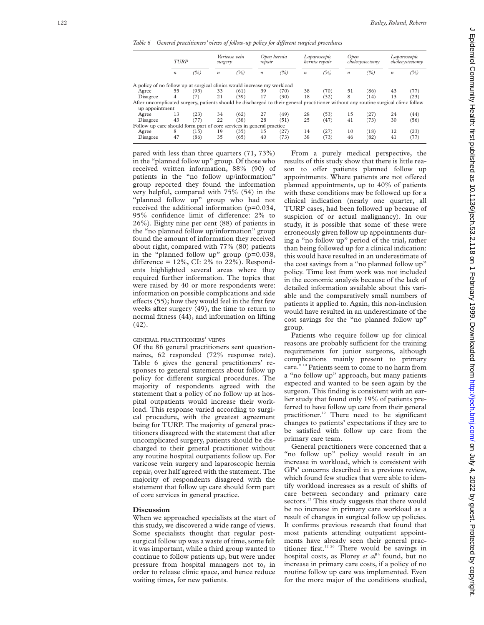*Table 6* General practitioners' views of follow-up policy for different surgical procedures

| <b>TURP</b>                                                                                                                         |                  |      | Varicose vein<br>surgery |      | Open hernia<br>repair |      | Laparoscopic<br>hernia repair |      | Open<br>cholecystectomy |      | Laparoscopic<br>cholecystectomy |      |
|-------------------------------------------------------------------------------------------------------------------------------------|------------------|------|--------------------------|------|-----------------------|------|-------------------------------|------|-------------------------|------|---------------------------------|------|
|                                                                                                                                     | $\boldsymbol{n}$ | (%)  | $\boldsymbol{n}$         | (%)  | $\boldsymbol{n}$      | (%)  | $\boldsymbol{n}$              | (%)  | $\boldsymbol{n}$        | (%)  | $\boldsymbol{n}$                | (%)  |
| A policy of no follow up at surgical clinics would increase my workload                                                             |                  |      |                          |      |                       |      |                               |      |                         |      |                                 |      |
| Agree                                                                                                                               | 55               | (93) | 33                       | (61) | 39                    | (70) | 38                            | (70) | 51                      | (86) | 43                              | (77) |
| Disagree                                                                                                                            | 4                | (7)  | 21                       | (39) | 17                    | (30) | 18                            | (32) | 8                       | (14) | 13                              | (23) |
| After uncomplicated surgery, patients should be discharged to their general practitioner without any routine surgical clinic follow |                  |      |                          |      |                       |      |                               |      |                         |      |                                 |      |
| up appointment                                                                                                                      |                  |      |                          |      |                       |      |                               |      |                         |      |                                 |      |
| Agree                                                                                                                               | 13               | (23) | 34                       | (62) | 27                    | (49) | 28                            | (53) | 15                      | (27) | 24                              | (44) |
| Disagree                                                                                                                            | 43               | (77) | 22                       | (38) | 28                    | (51) | 25                            | (47) | 41                      | (73) | 30                              | (56) |
| Follow up care should form part of core services in general practice                                                                |                  |      |                          |      |                       |      |                               |      |                         |      |                                 |      |
| Agree                                                                                                                               | 8                | 15)  | 19                       | (35) | 15                    | (27) | 14                            | (27) | 10                      | (18) | 12                              | (23) |
| Disagree                                                                                                                            | 47               | (86) | 35                       | (65) | 40                    | (73) | 38                            | (73) | 46                      | (82) | 41                              | (77) |

pared with less than three quarters (71, 73%) in the "planned follow up" group. Of those who received written information, 88% (90) of patients in the "no follow up/information" group reported they found the information very helpful, compared with 75% (54) in the "planned follow up" group who had not received the additional information (p=0.034, 95% confidence limit of difference: 2% to 26%). Eighty nine per cent (88) of patients in the "no planned follow up/information" group found the amount of information they received about right, compared with 77% (80) patients in the "planned follow up" group (p=0.038, difference =  $12\%$ , CI:  $2\%$  to  $22\%$ ). Respondents highlighted several areas where they required further information. The topics that were raised by 40 or more respondents were: information on possible complications and side effects  $(55)$ ; how they would feel in the first few weeks after surgery (49), the time to return to normal fitness (44), and information on lifting (42).

## GENERAL PRACTITIONERS ' VIEWS

Of the 86 general practitioners sent questionnaires, 62 responded (72% response rate). Table 6 gives the general practitioners' responses to general statements about follow up policy for different surgical procedures. The majority of respondents agreed with the statement that a policy of no follow up at hospital outpatients would increase their workload. This response varied according to surgical procedure, with the greatest agreement being for TURP. The majority of general practitioners disagreed with the statement that after uncomplicated surgery, patients should be discharged to their general practitioner without any routine hospital outpatients follow up. For varicose vein surgery and laparoscopic hernia repair, over half agreed with the statement. The majority of respondents disagreed with the statement that follow up care should form part of core services in general practice.

#### **Discussion**

When we approached specialists at the start of this study, we discovered a wide range of views. Some specialists thought that regular postsurgical follow up was a waste of time, some felt it was important, while a third group wanted to continue to follow patients up, but were under pressure from hospital managers not to, in order to release clinic space, and hence reduce waiting times, for new patients.

From a purely medical perspective, the results of this study show that there is little reason to offer patients planned follow up appointments. Where patients are not offered planned appointments, up to 40% of patients with these conditions may be followed up for a clinical indication (nearly one quarter, all TURP cases, had been followed up because of suspicion of or actual malignancy). In our study, it is possible that some of these were erroneously given follow up appointments during a "no follow up" period of the trial, rather than being followed up for a clinical indication: this would have resulted in an underestimate of the cost savings from a "no planned follow up" policy. Time lost from work was not included in the economic analysis because of the lack of detailed information available about this variable and the comparatively small numbers of patients it applied to. Again, this non-inclusion would have resulted in an underestimate of the cost savings for the "no planned follow up" group.

Patients who require follow up for clinical reasons are probably sufficient for the training requirements for junior surgeons, although complications mainly present to primary care.<sup>9 10</sup> Patients seem to come to no harm from a "no follow up" approach, but many patients expected and wanted to be seen again by the surgeon. This finding is consistent with an earlier study that found only 19% of patients preferred to have follow up care from their general practitioner.12 There need to be significant changes to patients' expectations if they are to be satisfied with follow up care from the primary care team.

General practitioners were concerned that a "no follow up" policy would result in an increase in workload, which is consistent with GPs' concerns described in a previous review, which found few studies that were able to identify workload increases as a result of shifts of care between secondary and primary care sectors.<sup>13</sup> This study suggests that there would be no increase in primary care workload as a result of changes in surgical follow up policies. It confirms previous research that found that most patients attending outpatient appointments have already seen their general practitioner first.<sup>12 26</sup> There would be savings in hospital costs, as Florey *et al*<sup>14</sup> found, but no increase in primary care costs, if a policy of no routine follow up care was implemented *.* Even for the more major of the conditions studied,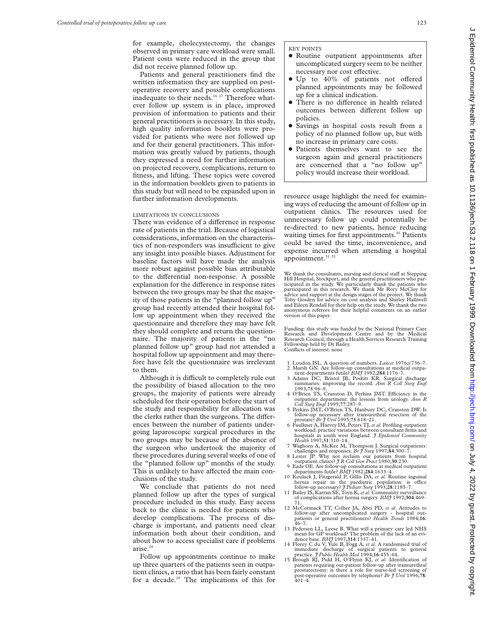for example, cholecystectomy, the changes observed in primary care workload were small. Patient costs were reduced in the group that did not receive planned follow up.

Patients and general practitioners find the written information they are supplied on postoperative recovery and possible complications inadequate to their needs.<sup>16 27</sup> Therefore whatever follow up system is in place, improved provision of information to patients and their general practitioners is necessary. In this study, high quality information booklets were provided for patients who were not followed up and for their general practitioners. This information was greatly valued by patients, though they expressed a need for further information on projected recovery, complications, return to fitness, and lifting. These topics were covered in the information booklets given to patients in this study but will need to be expanded upon in further information developments.

#### LIMITATIONS IN CONCLUSIONS

There was evidence of a difference in response rate of patients in the trial. Because of logistical considerations, information on the characteristics of non-responders was insufficient to give any insight into possible biases. Adjustment for baseline factors will have made the analysis more robust against possible bias attributable to the differential non-response. A possible explanation for the difference in response rates between the two groups may be that the majority of those patients in the "planned follow up' group had recently attended their hospital follow up appointment when they received the questionnaire and therefore they may have felt they should complete and return the questionnaire. The majority of patients in the "no planned follow up" group had not attended a hospital follow up appointment and may therefore have felt the questionnaire was irrelevant to them.

Although it is difficult to completely rule out the possibility of biased allocation to the two groups, the majority of patients were already scheduled for their operation before the start of the study and responsibility for allocation was the clerks rather than the surgeons. The differences between the number of patients undergoing laparoscopic surgical procedures in the two groups may be because of the absence of the surgeon who undertook the majority of these procedures during several weeks of one of the "planned follow up" months of the study. This is unlikely to have affected the main conclusions of the study.

We conclude that patients do not need planned follow up after the types of surgical procedure included in this study. Easy access back to the clinic is needed for patients who develop complications. The process of discharge is important, and patients need clear information both about their condition, and about how to access specialist care if problems arise.<sup>28</sup>

Follow up appointments continue to make up three quarters of the patients seen in outpatient clinics, a ratio that has been fairly constant for a decade.<sup>29</sup> The implications of this for

#### KEY POINTS

- Routine outpatient appointments after uncomplicated surgery seem to be neither necessary nor cost effective.
- $\bullet$  Up to 40% of patients not offered planned appointments may be followed up for a clinical indication.
- There is no difference in health related outcomes between different follow up policies.
- Savings in hospital costs result from a policy of no planned follow up, but with no increase in primary care costs.
- Patients themselves want to see the surgeon again and general practitioners are concerned that a "no follow up" policy would increase their workload.

resource usage highlight the need for examining ways of reducing the amount of follow up in outpatient clinics. The resources used for unnecessary follow up could potentially be re-directed to new patients, hence reducing waiting times for first appointments.<sup>30</sup> Patients could be saved the time, inconvenience, and expense incurred when attending a hospital appointment.<sup>31</sup> 32

We thank the consultants, nursing and clerical staff at Stepping<br>Hill Hospital, Stockport, and the general practitioners who par-<br>ticipated in the study. We particularly thank the patients who<br>participated in this research advice and support at the design stages of the project. We thank Toby Gosden for advice on cost analysis and Shirley Halliwell and Eileen Rendall for their help on the study. We thank the two anonymous referees for their helpful comments on an earlier version of this paper.

Funding: this study was funded by the National Primary Care Research and Development Centre and by the Medical Research Council, through a Health Services Research Training Fellowship held by Dr Bailey. Conflicts of interest: none

- 1 Loudon ISL. A question of numbers. *Lancet* 1976;i:736–7.
- 2 Marsh GN. Are follow-up consultations at medical outpa-tient departments futile? *BMJ* 1982;**284**:1176–7. 3 Adams DC, Bristol JB, Poskitt KR. Surgical discharge
- summaries: improving the record*. Ann R Coll Surg Engl* 1993;**75**:96–9.
- 4 O'Brien TS, Cranston D, Perkins JMT. Efficiency in the outpatient department: the lessons from urology. *Ann R Coll Surg Engl* 1995;**77**:287–9.
- 5 Perkins JMT, O'Brien TS, Hanbury DC, Cranston DW. Is follow-up necessary after transurethral resection of the prostate?  $Br$   $7$  Urol 1995;75:618-21.
- prostate? *Br J Urol* 1995;**75**:618–21. 6 Faulkner A, Harvey IM, Peters TJ, *et al*. Profiling outpatient workload: practice variations between consultant firms and hospitals in south west England. *J Epidemiol Community Health* 1997;**51**:310–14.
- 7 Waghorn A, McKee M, Thompson J. Surgical outpatients:
- 
- challenges and responses. *Br*  $\tilde{f}$  *Surg* 1997;84:300–7.<br>8 Lester JP. Why not reclaim our patients from hospital<br>outpatient clinics?  $\tilde{f}$  *R Coll Gen Pract* 1980;30:230.<br>9 Eade OE. Are follow-up consultations at
- 10 Koulack J, Fitzgerald P, Gillis DA, *et al.* Routine inguinal
- hernia repair in the paediatric population: is office<br>follow-up necessary? *J Pediatr Surg* 1993;28:1185–7.<br>11 Bailey IS, Karran SE, Toyn K, et al. Community surveillance
- of complications after hernia surgery. *BMJ* 1992;**304**:469– 71. 12 McCormack TT, Collier JA, Abei PD, *et al*. Attitudes to
- follow-up after uncomplicated surgery hospital out-patients or general practitioners? *Health Trends* 1984;**16**: 46–7. 13 Pedersen LL, Leese B. What will a primary care led NHS
- mean for GP workload? The problem of the lack of an evi-dence base. *BMJ* 1997;**314**:1337–41.
- 14 Florey C du V, Yule B, Fogg A, *et al*. A randomised trial of immediate discharge of surgical patients to general
- 15 Brough RJ, Pidd H, O'Flynn KJ, et al. Identification of patients requiring out-patient follow-up after transurethral prostatectomy: is there a role for nurse-led screening of post-operative outcomes by telephone? *Br J Urol* 1996;**78**:  $401-4$